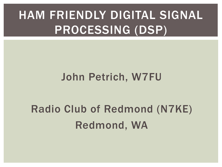### HAM FRIENDLY DIGITAL SIGNAL PROCESSING (DSP)

#### John Petrich, W7FU

### Radio Club of Redmond (N7KE) Redmond, WA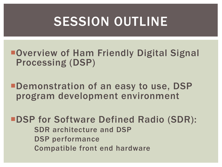# SESSION OUTLINE

■Overview of Ham Friendly Digital Signal Processing (DSP)

**•Demonstration of an easy to use, DSP** program development environment

**"DSP for Software Defined Radio (SDR):**  SDR architecture and DSP DSP performance Compatible front end hardware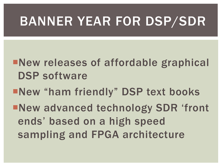# BANNER YEAR FOR DSP/SDR

¡New releases of affordable graphical DSP software

¡New "ham friendly" DSP text books

¡New advanced technology SDR 'front ends' based on a high speed sampling and FPGA architecture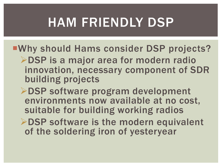# HAM FRIENDLY DSP

- ¡Why should Hams consider DSP projects? **≻DSP** is a major area for modern radio innovation, necessary component of SDR building projects
	- **≻DSP software program development** environments now available at no cost, suitable for building working radios
	- $\triangleright$  DSP software is the modern equivalent of the soldering iron of yesteryear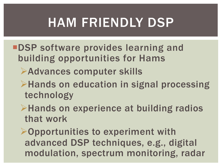# HAM FRIENDLY DSP

- **"DSP software provides learning and** building opportunities for Hams
	- **Example 2 Advances computer skills**
	- $\triangleright$  Hands on education in signal processing technology
	- $\triangleright$  Hands on experience at building radios that work
	- $\triangleright$  Opportunities to experiment with advanced DSP techniques, e.g., digital modulation, spectrum monitoring, radar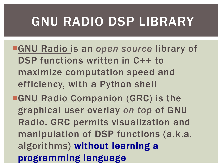# GNU RADIO DSP LIBRARY

- ¡GNU Radio is an *open source* library of DSP functions written in C++ to maximize computation speed and efficiency, with a Python shell
- **GNU Radio Companion (GRC) is the** graphical user overlay *on top* of GNU Radio. GRC permits visualization and manipulation of DSP functions (a.k.a. algorithms) without learning a programming language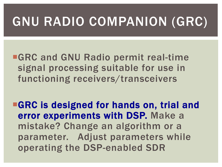# GNU RADIO COMPANION (GRC)

**GRC and GNU Radio permit real-time** signal processing suitable for use in functioning receivers/transceivers

**EGRC is designed for hands on, trial and** error experiments with DSP. Make a mistake? Change an algorithm or a parameter. Adjust parameters while operating the DSP-enabled SDR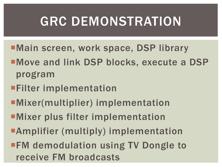# GRC DEMONSTRATION

- ■Main screen, work space, DSP library
- ¡Move and link DSP blocks, execute a DSP program
- **Examplementation**
- **EMixer(multiplier) implementation**
- **EMixer plus filter implementation**
- **Examplifier (multiply) implementation**
- **FM demodulation using TV Dongle to** receive FM broadcasts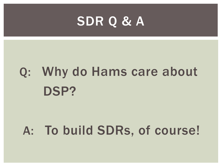### SDR Q & A

# Q: Why do Hams care about DSP?

### A: To build SDRs, of course!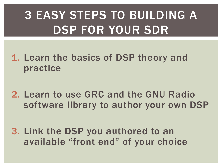# 3 EASY STEPS TO BUILDING A DSP FOR YOUR SDR

- 1. Learn the basics of DSP theory and practice
- 2. Learn to use GRC and the GNU Radio software library to author your own DSP
- 3. Link the DSP you authored to an available "front end" of your choice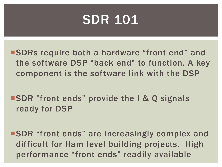### SDR 101

¡SDRs require both a hardware "front end" and the software DSP "back end" to function. A key component is the software link with the DSP

**SDR** "front ends" provide the I & Q signals ready for DSP

■ SDR "front ends" are increasingly complex and difficult for Ham level building projects. High performance "front ends" readily available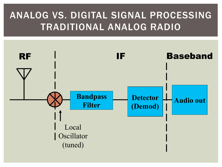#### ANALOG VS. DIGITAL SIGNAL PROCESSING TRADITIONAL ANALOG RADIO

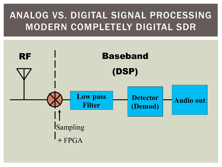#### ANALOG VS. DIGITAL SIGNAL PROCESSING MODERN COMPLETELY DIGITAL SDR

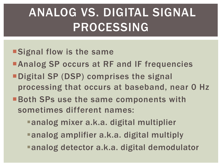# ANALOG VS. DIGITAL SIGNAL PROCESSING

- **Signal flow is the same**
- **Analog SP occurs at RF and IF frequencies**
- ¡Digital SP (DSP) comprises the signal processing that occurs at baseband, near 0 Hz
- **Earth SPs use the same components with** sometimes different names:
	- ■analog mixer a.k.a. digital multiplier
	- ■analog amplifier a.k.a. digital multiply
	- ■analog detector a.k.a. digital demodulator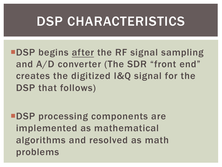### DSP CHARACTERISTICS

**•DSP begins after the RF signal sampling** and A/D converter (The SDR "front end" creates the digitized I&Q signal for the DSP that follows)

**<u>■DSP</u>** processing components are implemented as mathematical algorithms and resolved as math problems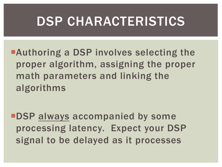### DSP CHARACTERISTICS

**Example 2 Is a DSP involves selecting the** proper algorithm, assigning the proper math parameters and linking the algorithms

**<u>■DSP</u>** always accompanied by some processing latency. Expect your DSP signal to be delayed as it processes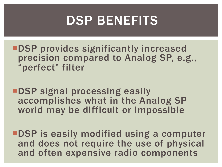### DSP BENEFITS

- **"DSP provides significantly increased** precision compared to Analog SP, e.g., "perfect" filter
- **"DSP signal processing easily** accomplishes what in the Analog SP world may be difficult or impossible
- **<u>■DSP</u>** is easily modified using a computer and does not require the use of physical and often expensive radio components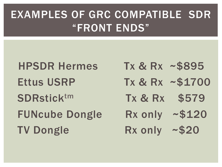### EXAMPLES OF GRC COMPATIBLE SDR "FRONT ENDS"

HPSDR Hermes Tx & Rx ~\$895 SDRstick<sup>tm</sup> Tx & Rx \$579 FUNcube Dongle Rx only ~\$120 TV Dongle Rx only ~\$20

- 
- Ettus USRP Tx & Rx ~\$1700
	-
	-
	-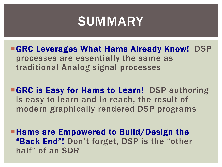### **SUMMARY**

**GRC Leverages What Hams Already Know! DSP** processes are essentially the same as traditional Analog signal processes

**GRC is Easy for Hams to Learn! DSP authoring** is easy to learn and in reach, the result of modern graphically rendered DSP programs

**• Hams are Empowered to Build/Design the** "Back End"! Don't forget, DSP is the "other half" of an SDR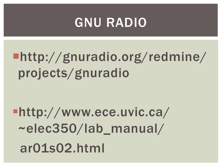### GNU RADIO

# ¡http://gnuradio.org/redmine/ projects/gnuradio

§http://www.ece.uvic.ca/ ~elec350/lab\_manual/ ar01s02.html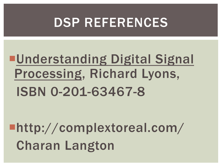### DSP REFERENCES

# **<u>■Understanding Digital Signal</u>** Processing, Richard Lyons, ISBN 0-201-63467-8

¡http://complextoreal.com/ Charan Langton